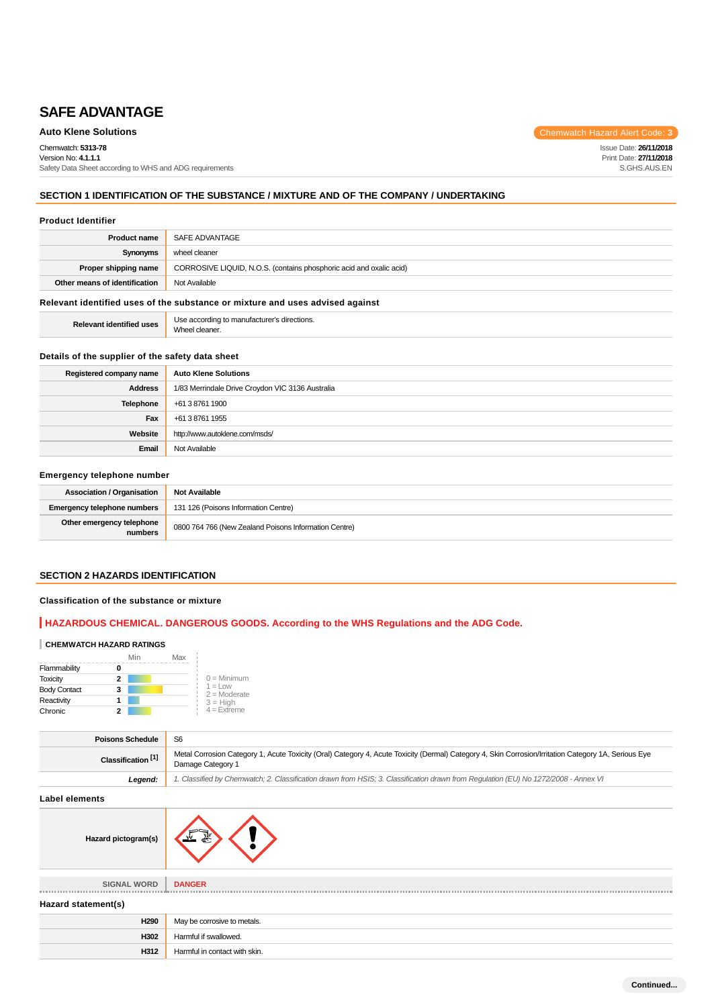**Auto Klene Solutions** Chemwatch Hazard Alert Code: 3

Issue Date: **26/11/2018** Print Date: **27/11/2018** S.GHS.AUS.EN

Chemwatch: **5313-78**

Version No: **4.1.1.1** Safety Data Sheet according to WHS and ADG requirements

# **SECTION 1 IDENTIFICATION OF THE SUBSTANCE / MIXTURE AND OF THE COMPANY / UNDERTAKING**

#### **Product Identifier**

| <b>Product name</b>                                                           | SAFE ADVANTAGE                                                      |
|-------------------------------------------------------------------------------|---------------------------------------------------------------------|
| Synonyms                                                                      | wheel cleaner                                                       |
| Proper shipping name                                                          | CORROSIVE LIQUID, N.O.S. (contains phosphoric acid and oxalic acid) |
| Other means of identification                                                 | Not Available                                                       |
| Relevant identified uses of the substance or mixture and uses advised seguret |                                                                     |

#### **Relevant identified uses of the substance or mixture and uses advised against**

**Relevant identified uses Use according to manufacturer's directions.** Wheel cleaner.

#### **Details of the supplier of the safety data sheet**

| Registered company name | <b>Auto Klene Solutions</b>                      |
|-------------------------|--------------------------------------------------|
| <b>Address</b>          | 1/83 Merrindale Drive Croydon VIC 3136 Australia |
| Telephone               | +61 3 8761 1900                                  |
| Fax                     | +61 3 8761 1955                                  |
| Website                 | http://www.autoklene.com/msds/                   |
| Email                   | Not Available                                    |

# **Emergency telephone number**

| <b>Association / Organisation</b>    | <b>Not Available</b>                                  |
|--------------------------------------|-------------------------------------------------------|
| Emergency telephone numbers          | 131 126 (Poisons Information Centre)                  |
| Other emergency telephone<br>numbers | 0800 764 766 (New Zealand Poisons Information Centre) |

# **SECTION 2 HAZARDS IDENTIFICATION**

# **Classification of the substance or mixture**

# **HAZARDOUS CHEMICAL. DANGEROUS GOODS. According to the WHS Regulations and the ADG Code.**

#### **CHEMWATCH HAZARD RATINGS**

|                     | Min | Max |                                    |
|---------------------|-----|-----|------------------------------------|
| Flammability        |     |     |                                    |
| <b>Toxicity</b>     | 2   |     | $0 =$ Minimum                      |
| <b>Body Contact</b> | 3   |     | $1 = 1$ $\Omega$<br>$2 =$ Moderate |
| Reactivity          |     |     | $3 = High$                         |
| Chronic             | 2   |     | $4 =$ Extreme                      |

| <b>Poisons Schedule</b>       | S <sub>6</sub>                                                                                                                                                            |
|-------------------------------|---------------------------------------------------------------------------------------------------------------------------------------------------------------------------|
| Classification <sup>[1]</sup> | Metal Corrosion Category 1, Acute Toxicity (Oral) Category 4, Acute Toxicity (Dermal) Category 4, Skin Corrosion/Irritation Category 1A, Serious Eye<br>Damage Category 1 |
| Legend:                       | 1. Classified by Chemwatch; 2. Classification drawn from HSIS; 3. Classification drawn from Requlation (EU) No 1272/2008 - Annex VI                                       |

#### **Label elements**

| Hazard pictogram(s) |  |  |
|---------------------|--|--|
|---------------------|--|--|

**SIGNAL WORD DANGER**

#### **Hazard statement(s)**

| H <sub>290</sub> | May be corrosive to metals.   |
|------------------|-------------------------------|
| H302             | Harmful if swallowed.         |
| H312             | Harmful in contact with skin. |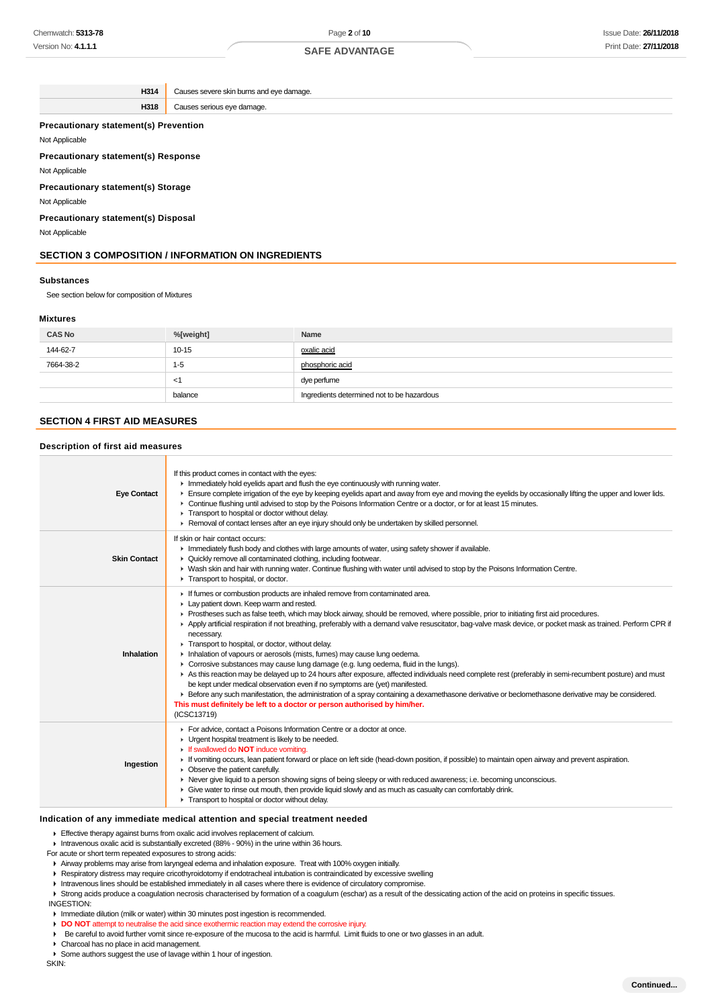**H314** Causes severe skin burns and eve damage. **H318** Causes serious eye damage. **Precautionary statement(s) Prevention**

#### Not Applicable

**Precautionary statement(s) Response**

Not Applicable

#### **Precautionary statement(s) Storage**

Not Applicable

# **Precautionary statement(s) Disposal**

Not Applicable

# **SECTION 3 COMPOSITION / INFORMATION ON INGREDIENTS**

#### **Substances**

See section below for composition of Mixtures

### **Mixtures**

| <b>CAS No</b> | %[weight] | Name                                       |
|---------------|-----------|--------------------------------------------|
| 144-62-7      | $10 - 15$ | oxalic acid                                |
| 7664-38-2     | $1 - 5$   | phosphoric acid                            |
|               | $<$ 1     | dye perfume                                |
|               | balance   | Ingredients determined not to be hazardous |

# **SECTION 4 FIRST AID MEASURES**

### **Description of first aid measures**

| <b>Eye Contact</b>  | If this product comes in contact with the eyes:<br>Inmediately hold eyelids apart and flush the eye continuously with running water.<br>Ensure complete irrigation of the eye by keeping eyelids apart and away from eye and moving the eyelids by occasionally lifting the upper and lower lids.<br>► Continue flushing until advised to stop by the Poisons Information Centre or a doctor, or for at least 15 minutes.<br>Transport to hospital or doctor without delay.<br>► Removal of contact lenses after an eye injury should only be undertaken by skilled personnel.                                                                                                                                                                                                                                                                                                                                                                                                                                                                                                                                                                                  |
|---------------------|-----------------------------------------------------------------------------------------------------------------------------------------------------------------------------------------------------------------------------------------------------------------------------------------------------------------------------------------------------------------------------------------------------------------------------------------------------------------------------------------------------------------------------------------------------------------------------------------------------------------------------------------------------------------------------------------------------------------------------------------------------------------------------------------------------------------------------------------------------------------------------------------------------------------------------------------------------------------------------------------------------------------------------------------------------------------------------------------------------------------------------------------------------------------|
| <b>Skin Contact</b> | If skin or hair contact occurs:<br>In Immediately flush body and clothes with large amounts of water, using safety shower if available.<br>• Quickly remove all contaminated clothing, including footwear.<br>> Wash skin and hair with running water. Continue flushing with water until advised to stop by the Poisons Information Centre.<br>Transport to hospital, or doctor.                                                                                                                                                                                                                                                                                                                                                                                                                                                                                                                                                                                                                                                                                                                                                                               |
| Inhalation          | If fumes or combustion products are inhaled remove from contaminated area.<br>Lay patient down. Keep warm and rested.<br>▶ Prostheses such as false teeth, which may block airway, should be removed, where possible, prior to initiating first aid procedures.<br>Apply artificial respiration if not breathing, preferably with a demand valve resuscitator, bag-valve mask device, or pocket mask as trained. Perform CPR if<br>necessary.<br>Transport to hospital, or doctor, without delay.<br>Inhalation of vapours or aerosols (mists, fumes) may cause lung oedema.<br>• Corrosive substances may cause lung damage (e.g. lung oedema, fluid in the lungs).<br>As this reaction may be delayed up to 24 hours after exposure, affected individuals need complete rest (preferably in semi-recumbent posture) and must<br>be kept under medical observation even if no symptoms are (yet) manifested.<br>Effore any such manifestation, the administration of a spray containing a dexamethasone derivative or beclomethasone derivative may be considered.<br>This must definitely be left to a doctor or person authorised by him/her.<br>(ICSC13719) |
| Ingestion           | For advice, contact a Poisons Information Centre or a doctor at once.<br>• Urgent hospital treatment is likely to be needed.<br>If swallowed do <b>NOT</b> induce vomiting.<br>If vomiting occurs, lean patient forward or place on left side (head-down position, if possible) to maintain open airway and prevent aspiration.<br>• Observe the patient carefully.<br>► Never give liquid to a person showing signs of being sleepy or with reduced awareness; i.e. becoming unconscious.<br>Give water to rinse out mouth, then provide liquid slowly and as much as casualty can comfortably drink.<br>Transport to hospital or doctor without delay.                                                                                                                                                                                                                                                                                                                                                                                                                                                                                                        |

### **Indication of any immediate medical attention and special treatment needed**

Effective therapy against burns from oxalic acid involves replacement of calcium.

Intravenous oxalic acid is substantially excreted (88% - 90%) in the urine within 36 hours.

- For acute or short term repeated exposures to strong acids:
- Airway problems may arise from laryngeal edema and inhalation exposure. Treat with 100% oxygen initially.
- Respiratory distress may require cricothyroidotomy if endotracheal intubation is contraindicated by excessive swelling
- Intravenous lines should be established immediately in all cases where there is evidence of circulatory compromise.
- Strong acids produce a coagulation necrosis characterised by formation of a coagulum (eschar) as a result of the dessicating action of the acid on proteins in specific tissues.
- INGESTION:
- Immediate dilution (milk or water) within 30 minutes post ingestion is recommended.
- **DO NOT** attempt to neutralise the acid since exothermic reaction may extend the corrosive injury.
- Be careful to avoid further vomit since re-exposure of the mucosa to the acid is harmful. Limit fluids to one or two glasses in an adult.
- Charcoal has no place in acid management.
- Some authors suggest the use of lavage within 1 hour of ingestion.

SKIN: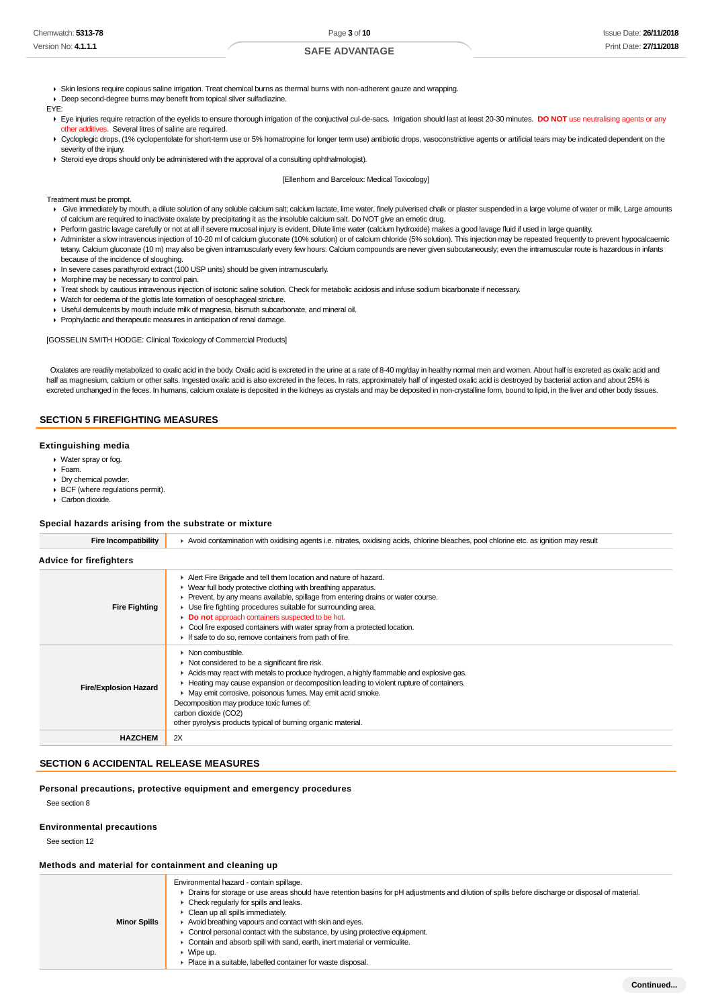- Skin lesions require copious saline irrigation. Treat chemical burns as thermal burns with non-adherent gauze and wrapping.
- Deep second-degree burns may benefit from topical silver sulfadiazine

EYE:

- ▶ Eye injuries require retraction of the eyelids to ensure thorough irrigation of the conjuctival cul-de-sacs. Irrigation should last at least 20-30 minutes. **DO NOT** use neutralising agents or any other additives. Several litres of saline are required.
- ▶ Cycloplegic drops, (1% cyclopentolate for short-term use or 5% homatropine for longer term use) antibiotic drops, vasoconstrictive agents or artificial tears may be indicated dependent on the severity of the injury.
- Steroid eye drops should only be administered with the approval of a consulting ophthalmologist).

#### [Ellenhorn and Barceloux: Medical Toxicology]

#### Treatment must be prompt.

- ▶ Give immediately by mouth, a dilute solution of any soluble calcium salt; calcium lactate, lime water, finely pulverised chalk or plaster suspended in a large volume of water or milk. Large amounts of calcium are required to inactivate oxalate by precipitating it as the insoluble calcium salt. Do NOT give an emetic drug.
- Perform gastric lavage carefully or not at all if severe mucosal injury is evident. Dilute lime water (calcium hydroxide) makes a good lavage fluid if used in large quantity.
- ▶ Administer a slow intravenous injection of 10-20 ml of calcium gluconate (10% solution) or of calcium chloride (5% solution). This injection may be repeated frequently to prevent hypocalcaemic
- tetany. Calcium gluconate (10 m) may also be given intramuscularly every few hours. Calcium compounds are never given subcutaneously; even the intramuscular route is hazardous in infants because of the incidence of sloughing.
- In severe cases parathyroid extract (100 USP units) should be given intramuscularly.
- **Morphine may be necessary to control pain.**
- Treat shock by cautious intravenous injection of isotonic saline solution. Check for metabolic acidosis and infuse sodium bicarbonate if necessary.
- Watch for oedema of the glottis late formation of oesophageal stricture.
- Useful demulcents by mouth include milk of magnesia, bismuth subcarbonate, and mineral oil.
- Prophylactic and therapeutic measures in anticipation of renal damage.

[GOSSELIN SMITH HODGE: Clinical Toxicology of Commercial Products]

 Oxalates are readily metabolized to oxalic acid in the body. Oxalic acid is excreted in the urine at a rate of 8-40 mg/day in healthy normal men and women. About half is excreted as oxalic acid and half as magnesium, calcium or other salts. Ingested oxalic acid is also excreted in the feces. In rats, approximately half of ingested oxalic acid is destroyed by bacterial action and about 25% is excreted unchanged in the feces. In humans, calcium oxalate is deposited in the kidneys as crystals and may be deposited in non-crystalline form, bound to lipid, in the liver and other body tissues.

# **SECTION 5 FIREFIGHTING MEASURES**

#### **Extinguishing media**

- Water spray or fog.
- Foam.
- Dry chemical powder.
- BCF (where regulations permit).
- Carbon dioxide.

#### **Special hazards arising from the substrate or mixture**

| Fire Incompatibility           | Avoid contamination with oxidising agents i.e. nitrates, oxidising acids, chlorine bleaches, pool chlorine etc. as ignition may result                                                                                                                                                                                                                                                                                                                                             |  |  |
|--------------------------------|------------------------------------------------------------------------------------------------------------------------------------------------------------------------------------------------------------------------------------------------------------------------------------------------------------------------------------------------------------------------------------------------------------------------------------------------------------------------------------|--|--|
| <b>Advice for firefighters</b> |                                                                                                                                                                                                                                                                                                                                                                                                                                                                                    |  |  |
| <b>Fire Fighting</b>           | Alert Fire Brigade and tell them location and nature of hazard.<br>▶ Wear full body protective clothing with breathing apparatus.<br>• Prevent, by any means available, spillage from entering drains or water course.<br>▶ Use fire fighting procedures suitable for surrounding area.<br>Do not approach containers suspected to be hot.<br>• Cool fire exposed containers with water spray from a protected location.<br>If safe to do so, remove containers from path of fire. |  |  |
| <b>Fire/Explosion Hazard</b>   | $\triangleright$ Non combustible.<br>• Not considered to be a significant fire risk.<br>Acids may react with metals to produce hydrogen, a highly flammable and explosive gas.<br>► Heating may cause expansion or decomposition leading to violent rupture of containers.<br>• May emit corrosive, poisonous fumes. May emit acrid smoke.<br>Decomposition may produce toxic fumes of:<br>carbon dioxide (CO2)<br>other pyrolysis products typical of burning organic material.   |  |  |
| <b>HAZCHEM</b>                 | 2X                                                                                                                                                                                                                                                                                                                                                                                                                                                                                 |  |  |

# **SECTION 6 ACCIDENTAL RELEASE MEASURES**

#### **Personal precautions, protective equipment and emergency procedures**

See section 8

#### **Environmental precautions**

See section 12

#### **Methods and material for containment and cleaning up**

|                     | Environmental hazard - contain spillage.                                                                                                           |
|---------------------|----------------------------------------------------------------------------------------------------------------------------------------------------|
|                     | ► Drains for storage or use areas should have retention basins for pH adjustments and dilution of spills before discharge or disposal of material. |
|                     | $\triangleright$ Check regularly for spills and leaks.                                                                                             |
|                     | • Clean up all spills immediately.                                                                                                                 |
| <b>Minor Spills</b> | Avoid breathing vapours and contact with skin and eyes.                                                                                            |
|                     | • Control personal contact with the substance, by using protective equipment.                                                                      |
|                     | Contain and absorb spill with sand, earth, inert material or vermiculite.                                                                          |
|                     | ▸ Wipe up.                                                                                                                                         |
|                     | • Place in a suitable, labelled container for waste disposal.                                                                                      |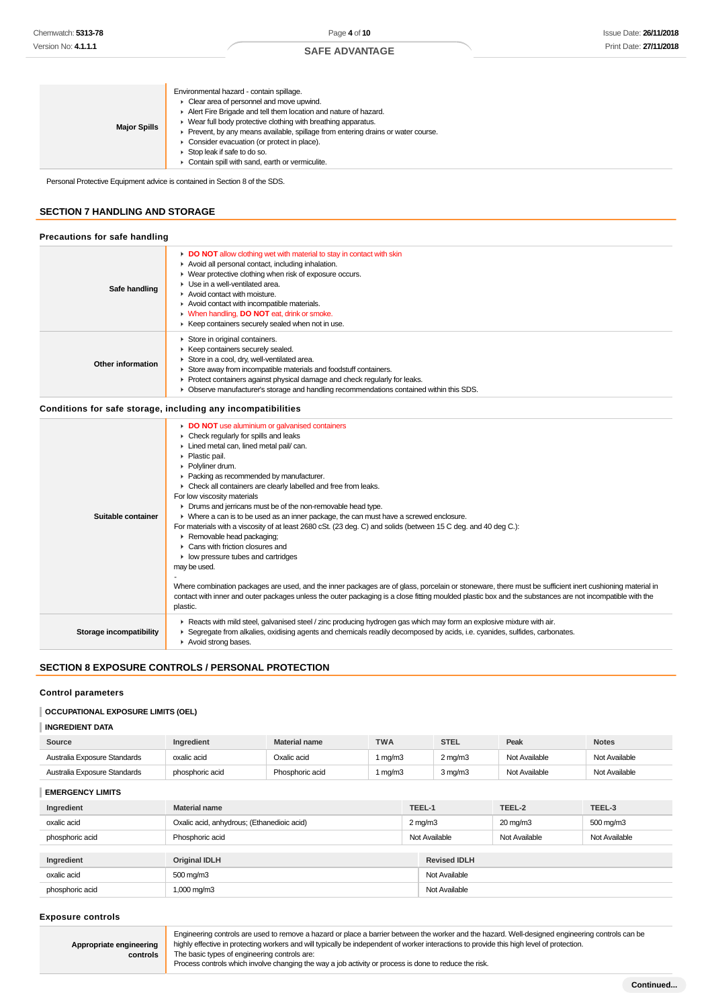| <b>Major Spills</b> | Environmental hazard - contain spillage.<br>$\triangleright$ Clear area of personnel and move upwind.<br>Alert Fire Brigade and tell them location and nature of hazard.<br>• Wear full body protective clothing with breathing apparatus.<br>• Prevent, by any means available, spillage from entering drains or water course.<br>• Consider evacuation (or protect in place).<br>Stop leak if safe to do so.<br>Contain spill with sand, earth or vermiculite. |
|---------------------|------------------------------------------------------------------------------------------------------------------------------------------------------------------------------------------------------------------------------------------------------------------------------------------------------------------------------------------------------------------------------------------------------------------------------------------------------------------|
|---------------------|------------------------------------------------------------------------------------------------------------------------------------------------------------------------------------------------------------------------------------------------------------------------------------------------------------------------------------------------------------------------------------------------------------------------------------------------------------------|

Personal Protective Equipment advice is contained in Section 8 of the SDS.

# **SECTION 7 HANDLING AND STORAGE**

#### **Precautions for safe handling**

| Safe handling     | DO NOT allow clothing wet with material to stay in contact with skin<br>Avoid all personal contact, including inhalation.<br>▶ Wear protective clothing when risk of exposure occurs.<br>$\blacktriangleright$ Use in a well-ventilated area.<br>$\blacktriangleright$ Avoid contact with moisture.<br>Avoid contact with incompatible materials.<br>• When handling. DO NOT eat. drink or smoke.<br>► Keep containers securely sealed when not in use. |
|-------------------|---------------------------------------------------------------------------------------------------------------------------------------------------------------------------------------------------------------------------------------------------------------------------------------------------------------------------------------------------------------------------------------------------------------------------------------------------------|
| Other information | Store in original containers.<br>Keep containers securely sealed.<br>Store in a cool, dry, well-ventilated area.<br>Store away from incompatible materials and foodstuff containers.<br>$\blacktriangleright$ Protect containers against physical damage and check regularly for leaks.<br>• Observe manufacturer's storage and handling recommendations contained within this SDS.                                                                     |

### **Conditions for safe storage, including any incompatibilities**

|                         | DO NOT use aluminium or galvanised containers<br>$\triangleright$ Check regularly for spills and leaks<br>Lined metal can, lined metal pail/can.<br>$\blacktriangleright$ Plastic pail.<br>Polyliner drum.<br>• Packing as recommended by manufacturer.<br>• Check all containers are clearly labelled and free from leaks.<br>For low viscosity materials<br>• Drums and jerricans must be of the non-removable head type.                                                                                                                                                                                                                                                                                   |
|-------------------------|---------------------------------------------------------------------------------------------------------------------------------------------------------------------------------------------------------------------------------------------------------------------------------------------------------------------------------------------------------------------------------------------------------------------------------------------------------------------------------------------------------------------------------------------------------------------------------------------------------------------------------------------------------------------------------------------------------------|
| Suitable container      | • Where a can is to be used as an inner package, the can must have a screwed enclosure.<br>For materials with a viscosity of at least 2680 cSt. (23 deg. C) and solids (between 15 C deg. and 40 deg C.):<br>Removable head packaging;<br>$\blacktriangleright$ Cans with friction closures and<br>$\blacktriangleright$ low pressure tubes and cartridges<br>may be used.<br>Where combination packages are used, and the inner packages are of glass, porcelain or stoneware, there must be sufficient inert cushioning material in<br>contact with inner and outer packages unless the outer packaging is a close fitting moulded plastic box and the substances are not incompatible with the<br>plastic. |
| Storage incompatibility | ► Reacts with mild steel, galvanised steel / zinc producing hydrogen gas which may form an explosive mixture with air.<br>► Segregate from alkalies, oxidising agents and chemicals readily decomposed by acids, i.e. cyanides, sulfides, carbonates.<br>Avoid strong bases.                                                                                                                                                                                                                                                                                                                                                                                                                                  |

# **SECTION 8 EXPOSURE CONTROLS / PERSONAL PROTECTION**

#### **Control parameters**

# **OCCUPATIONAL EXPOSURE LIMITS (OEL)**

# **INGREDIENT DATA**

| Source                       | Ingredient      | <b>Material name</b> | <b>TWA</b> | <b>STEL</b> | Peak          | <b>Notes</b>  |
|------------------------------|-----------------|----------------------|------------|-------------|---------------|---------------|
| Australia Exposure Standards | oxalic acid     | Oxalic acid          | 1 mg/m3    | 2 mg/m3     | Not Available | Not Available |
| Australia Exposure Standards | phosphoric acid | Phosphoric acid      | mg/m3      | 3 mg/m3     | Not Available | Not Available |

**EMERGENCY LIMITS Ingredient Material name TEEL-1 TEEL-2 TEEL-3** oxalic acid **Oxalic acid**, anhydrous; (Ethanedioic acid) 2 mg/m3 20 mg/m3 500 mg/m3 500 mg/m3 phosphoric acid **Phosphoric acid** Phosphoric acid Not Available Not Available Not Available Not Available Not Available **Ingredient Original IDLH Revised IDLH** oxalic acid 500 mg/m3 Not Available phosphoric acid 1,000 mg/m3 1,000 mg/m3 Not Available

#### **Exposure controls**

**Appropriate engineering controls** Engineering controls are used to remove a hazard or place a barrier between the worker and the hazard. Well-designed engineering controls can be highly effective in protecting workers and will typically be independent of worker interactions to provide this high level of protection. The basic types of engineering controls are:

Process controls which involve changing the way a job activity or process is done to reduce the risk.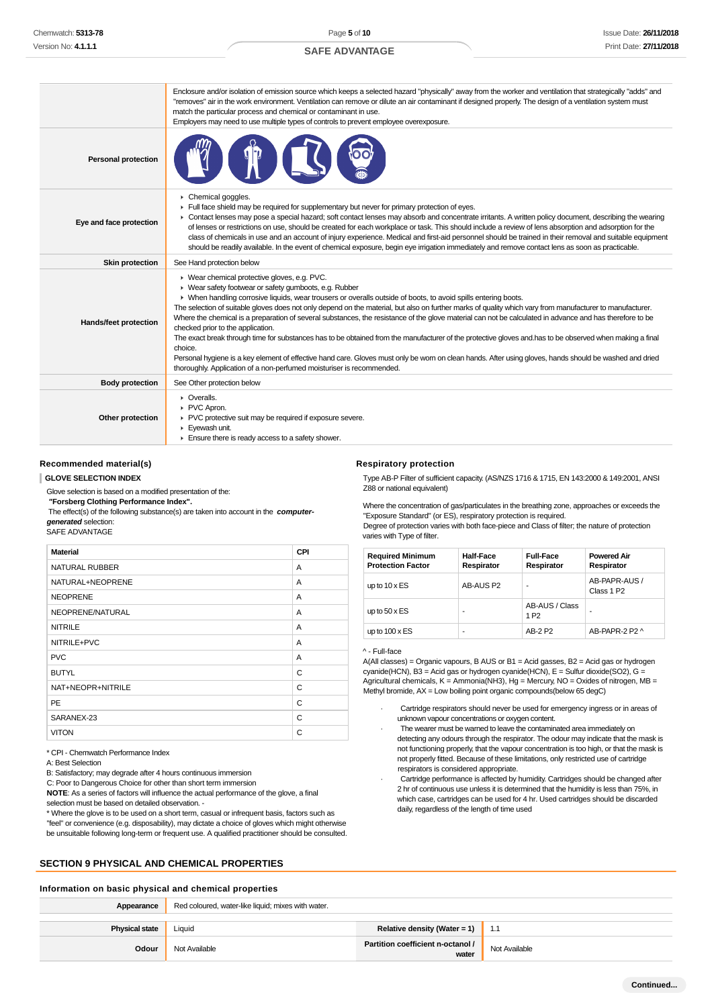|                            | Enclosure and/or isolation of emission source which keeps a selected hazard "physically" away from the worker and ventilation that strategically "adds" and<br>"removes" air in the work environment. Ventilation can remove or dilute an air contaminant if designed properly. The design of a ventilation system must<br>match the particular process and chemical or contaminant in use.<br>Employers may need to use multiple types of controls to prevent employee overexposure.                                                                                                                                                                                                                                                                                                                                                                                                                                                                                                            |
|----------------------------|--------------------------------------------------------------------------------------------------------------------------------------------------------------------------------------------------------------------------------------------------------------------------------------------------------------------------------------------------------------------------------------------------------------------------------------------------------------------------------------------------------------------------------------------------------------------------------------------------------------------------------------------------------------------------------------------------------------------------------------------------------------------------------------------------------------------------------------------------------------------------------------------------------------------------------------------------------------------------------------------------|
| <b>Personal protection</b> |                                                                                                                                                                                                                                                                                                                                                                                                                                                                                                                                                                                                                                                                                                                                                                                                                                                                                                                                                                                                  |
| Eye and face protection    | Chemical goggles.<br>Full face shield may be required for supplementary but never for primary protection of eyes.<br>• Contact lenses may pose a special hazard; soft contact lenses may absorb and concentrate irritants. A written policy document, describing the wearing<br>of lenses or restrictions on use, should be created for each workplace or task. This should include a review of lens absorption and adsorption for the<br>class of chemicals in use and an account of injury experience. Medical and first-aid personnel should be trained in their removal and suitable equipment<br>should be readily available. In the event of chemical exposure, begin eye irrigation immediately and remove contact lens as soon as practicable.                                                                                                                                                                                                                                           |
| <b>Skin protection</b>     | See Hand protection below                                                                                                                                                                                                                                                                                                                                                                                                                                                                                                                                                                                                                                                                                                                                                                                                                                                                                                                                                                        |
| Hands/feet protection      | ▶ Wear chemical protective gloves, e.g. PVC.<br>▶ Wear safety footwear or safety gumboots, e.g. Rubber<br>• When handling corrosive liquids, wear trousers or overalls outside of boots, to avoid spills entering boots.<br>The selection of suitable gloves does not only depend on the material, but also on further marks of quality which vary from manufacturer to manufacturer.<br>Where the chemical is a preparation of several substances, the resistance of the glove material can not be calculated in advance and has therefore to be<br>checked prior to the application.<br>The exact break through time for substances has to be obtained from the manufacturer of the protective gloves and has to be observed when making a final<br>choice.<br>Personal hygiene is a key element of effective hand care. Gloves must only be wom on clean hands. After using gloves, hands should be washed and dried<br>thoroughly. Application of a non-perfumed moisturiser is recommended. |
| <b>Body protection</b>     | See Other protection below                                                                                                                                                                                                                                                                                                                                                                                                                                                                                                                                                                                                                                                                                                                                                                                                                                                                                                                                                                       |
| Other protection           | • Overalls.<br>PVC Apron.<br>▶ PVC protective suit may be required if exposure severe.<br>Eyewash unit.<br>$\blacktriangleright$ Ensure there is ready access to a safety shower.                                                                                                                                                                                                                                                                                                                                                                                                                                                                                                                                                                                                                                                                                                                                                                                                                |

#### **Recommended material(s)**

#### **GLOVE SELECTION INDEX**

Glove selection is based on a modified presentation of the:

 **"Forsberg Clothing Performance Index".**

 The effect(s) of the following substance(s) are taken into account in the **computergenerated** selection:

# SAFE ADVANTAGE

| <b>Material</b>       | CPI |
|-----------------------|-----|
| <b>NATURAL RUBBER</b> | A   |
| NATURAL+NEOPRENE      | A   |
| <b>NEOPRENE</b>       | A   |
| NEOPRENE/NATURAL      | A   |
| <b>NITRILE</b>        | A   |
| NITRILE+PVC           | A   |
| <b>PVC</b>            | A   |
| <b>BUTYL</b>          | C   |
| NAT+NEOPR+NITRILE     | C   |
| <b>PE</b>             | C   |
| SARANEX-23            | C   |
| <b>VITON</b>          | C   |

\* CPI - Chemwatch Performance Index

A: Best Selection

B: Satisfactory; may degrade after 4 hours continuous immersion

C: Poor to Dangerous Choice for other than short term immersion

**NOTE**: As a series of factors will influence the actual performance of the glove, a final

selection must be based on detailed observation. -

\* Where the glove is to be used on a short term, casual or infrequent basis, factors such as "feel" or convenience (e.g. disposability), may dictate a choice of gloves which might otherwise be unsuitable following long-term or frequent use. A qualified practitioner should be consulted.

# **SECTION 9 PHYSICAL AND CHEMICAL PROPERTIES**

#### **Information on basic physical and chemical properties**

| Appearance            | Red coloured, water-like liquid; mixes with water. |                                            |               |
|-----------------------|----------------------------------------------------|--------------------------------------------|---------------|
| <b>Physical state</b> | Liauid                                             | Relative density (Water = 1)   1.1         |               |
| Odour                 | Not Available                                      | Partition coefficient n-octanol /<br>water | Not Available |

#### **Respiratory protection**

Type AB-P Filter of sufficient capacity. (AS/NZS 1716 & 1715, EN 143:2000 & 149:2001, ANSI Z88 or national equivalent)

Where the concentration of gas/particulates in the breathing zone, approaches or exceeds the "Exposure Standard" (or ES), respiratory protection is required. Degree of protection varies with both face-piece and Class of filter; the nature of protection

varies with Type of filter.

| <b>Required Minimum</b><br><b>Protection Factor</b> | <b>Half-Face</b><br>Respirator | <b>Full-Face</b><br>Respirator     | <b>Powered Air</b><br>Respirator        |
|-----------------------------------------------------|--------------------------------|------------------------------------|-----------------------------------------|
| up to $10 \times ES$                                | AB-AUS P2                      | ۰                                  | AB-PAPR-AUS /<br>Class 1 P <sub>2</sub> |
| up to $50 \times ES$                                |                                | AB-AUS / Class<br>1 P <sub>2</sub> | ۰                                       |
| up to $100 \times ES$                               | ۰                              | AB-2 P2                            | AB-PAPR-2 P2 ^                          |

#### ^ - Full-face

A(All classes) = Organic vapours, B AUS or B1 = Acid gasses, B2 = Acid gas or hydrogen cyanide(HCN), B3 = Acid gas or hydrogen cyanide(HCN), E = Sulfur dioxide(SO2), G = Agricultural chemicals, K = Ammonia(NH3), Hg = Mercury, NO = Oxides of nitrogen, MB = Methyl bromide, AX = Low boiling point organic compounds(below 65 degC)

- Cartridge respirators should never be used for emergency ingress or in areas of unknown vapour concentrations or oxygen content.
- The wearer must be warned to leave the contaminated area immediately on detecting any odours through the respirator. The odour may indicate that the mask is not functioning properly, that the vapour concentration is too high, or that the mask is not properly fitted. Because of these limitations, only restricted use of cartridge respirators is considered appropriate.
- Cartridge performance is affected by humidity. Cartridges should be changed after 2 hr of continuous use unless it is determined that the humidity is less than 75%, in which case, cartridges can be used for 4 hr. Used cartridges should be discarded daily, regardless of the length of time used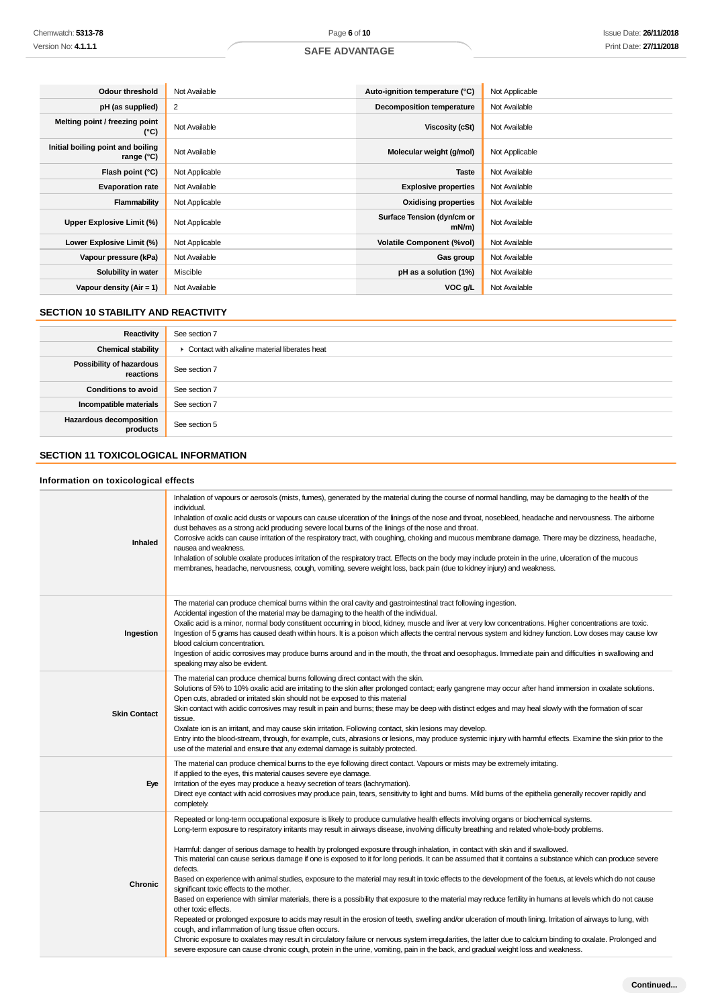| Odour threshold                                 | Not Available  | Auto-ignition temperature (°C)         | Not Applicable |
|-------------------------------------------------|----------------|----------------------------------------|----------------|
| pH (as supplied)                                | 2              | Decomposition temperature              | Not Available  |
| Melting point / freezing point<br>(°C)          | Not Available  | Viscosity (cSt)                        | Not Available  |
| Initial boiling point and boiling<br>range (°C) | Not Available  | Molecular weight (g/mol)               | Not Applicable |
| Flash point (°C)                                | Not Applicable | <b>Taste</b>                           | Not Available  |
| <b>Evaporation rate</b>                         | Not Available  | <b>Explosive properties</b>            | Not Available  |
| Flammability                                    | Not Applicable | <b>Oxidising properties</b>            | Not Available  |
| Upper Explosive Limit (%)                       | Not Applicable | Surface Tension (dyn/cm or<br>$mN/m$ ) | Not Available  |
| Lower Explosive Limit (%)                       | Not Applicable | <b>Volatile Component (%vol)</b>       | Not Available  |
| Vapour pressure (kPa)                           | Not Available  | Gas group                              | Not Available  |
| Solubility in water                             | Miscible       | pH as a solution (1%)                  | Not Available  |
| Vapour density $(Air = 1)$                      | Not Available  | VOC g/L                                | Not Available  |

# **SECTION 10 STABILITY AND REACTIVITY**

| Reactivity                                   | See section 7                                   |
|----------------------------------------------|-------------------------------------------------|
| <b>Chemical stability</b>                    | • Contact with alkaline material liberates heat |
| <b>Possibility of hazardous</b><br>reactions | See section 7                                   |
| <b>Conditions to avoid</b>                   | See section 7                                   |
| Incompatible materials                       | See section 7                                   |
| <b>Hazardous decomposition</b><br>products   | See section 5                                   |

# **SECTION 11 TOXICOLOGICAL INFORMATION**

# **Information on toxicological effects**

| Inhaled             | Inhalation of vapours or aerosols (mists, fumes), generated by the material during the course of normal handling, may be damaging to the health of the<br>individual.<br>Inhalation of oxalic acid dusts or vapours can cause ulceration of the linings of the nose and throat, nosebleed, headache and nervousness. The airborne<br>dust behaves as a strong acid producing severe local burns of the linings of the nose and throat.<br>Corrosive acids can cause irritation of the respiratory tract, with coughing, choking and mucous membrane damage. There may be dizziness, headache,<br>nausea and weakness.<br>Inhalation of soluble oxalate produces irritation of the respiratory tract. Effects on the body may include protein in the urine, ulceration of the mucous<br>membranes, headache, nervousness, cough, vomiting, severe weight loss, back pain (due to kidney injury) and weakness.                                                                                                                                                                                                                                                                                                                                                                                                                                                                                                                                                                                                             |
|---------------------|--------------------------------------------------------------------------------------------------------------------------------------------------------------------------------------------------------------------------------------------------------------------------------------------------------------------------------------------------------------------------------------------------------------------------------------------------------------------------------------------------------------------------------------------------------------------------------------------------------------------------------------------------------------------------------------------------------------------------------------------------------------------------------------------------------------------------------------------------------------------------------------------------------------------------------------------------------------------------------------------------------------------------------------------------------------------------------------------------------------------------------------------------------------------------------------------------------------------------------------------------------------------------------------------------------------------------------------------------------------------------------------------------------------------------------------------------------------------------------------------------------------------------|
| Ingestion           | The material can produce chemical burns within the oral cavity and gastrointestinal tract following ingestion.<br>Accidental ingestion of the material may be damaging to the health of the individual.<br>Oxalic acid is a minor, normal body constituent occurring in blood, kidney, muscle and liver at very low concentrations. Higher concentrations are toxic.<br>Ingestion of 5 grams has caused death within hours. It is a poison which affects the central nervous system and kidney function. Low doses may cause low<br>blood calcium concentration.<br>Ingestion of acidic corrosives may produce burns around and in the mouth, the throat and oesophagus. Immediate pain and difficulties in swallowing and<br>speaking may also be evident.                                                                                                                                                                                                                                                                                                                                                                                                                                                                                                                                                                                                                                                                                                                                                              |
| <b>Skin Contact</b> | The material can produce chemical burns following direct contact with the skin.<br>Solutions of 5% to 10% oxalic acid are irritating to the skin after prolonged contact; early gangrene may occur after hand immersion in oxalate solutions.<br>Open cuts, abraded or irritated skin should not be exposed to this material<br>Skin contact with acidic corrosives may result in pain and burns; these may be deep with distinct edges and may heal slowly with the formation of scar<br>tissue.<br>Oxalate ion is an irritant, and may cause skin irritation. Following contact, skin lesions may develop.<br>Entry into the blood-stream, through, for example, cuts, abrasions or lesions, may produce systemic injury with harmful effects. Examine the skin prior to the<br>use of the material and ensure that any external damage is suitably protected.                                                                                                                                                                                                                                                                                                                                                                                                                                                                                                                                                                                                                                                         |
| Eye                 | The material can produce chemical burns to the eye following direct contact. Vapours or mists may be extremely irritating.<br>If applied to the eyes, this material causes severe eye damage.<br>Irritation of the eyes may produce a heavy secretion of tears (lachrymation).<br>Direct eye contact with acid corrosives may produce pain, tears, sensitivity to light and burns. Mild burns of the epithelia generally recover rapidly and<br>completely.                                                                                                                                                                                                                                                                                                                                                                                                                                                                                                                                                                                                                                                                                                                                                                                                                                                                                                                                                                                                                                                              |
| Chronic             | Repeated or long-term occupational exposure is likely to produce cumulative health effects involving organs or biochemical systems.<br>Long-term exposure to respiratory irritants may result in airways disease, involving difficulty breathing and related whole-body problems.<br>Harmful: danger of serious damage to health by prolonged exposure through inhalation, in contact with skin and if swallowed.<br>This material can cause serious damage if one is exposed to it for long periods. It can be assumed that it contains a substance which can produce severe<br>defects.<br>Based on experience with animal studies, exposure to the material may result in toxic effects to the development of the foetus, at levels which do not cause<br>significant toxic effects to the mother.<br>Based on experience with similar materials, there is a possibility that exposure to the material may reduce fertility in humans at levels which do not cause<br>other toxic effects.<br>Repeated or prolonged exposure to acids may result in the erosion of teeth, swelling and/or ulceration of mouth lining. Irritation of airways to lung, with<br>cough, and inflammation of lung tissue often occurs.<br>Chronic exposure to oxalates may result in circulatory failure or nervous system irregularities, the latter due to calcium binding to oxalate. Prolonged and<br>severe exposure can cause chronic cough, protein in the urine, vomiting, pain in the back, and gradual weight loss and weakness. |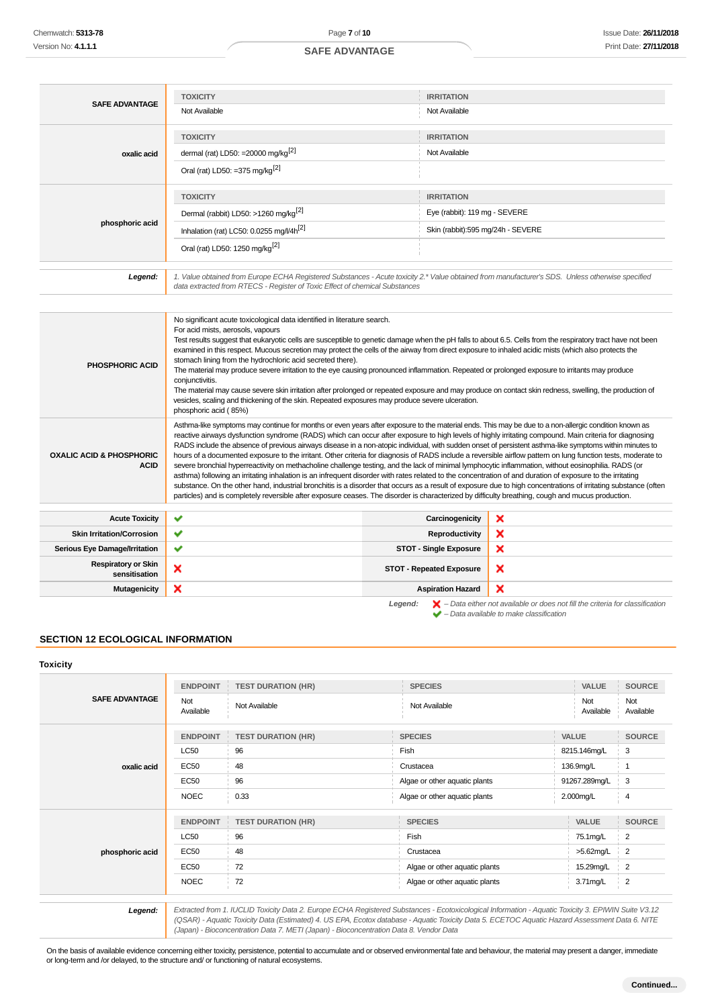| <b>SAFE ADVANTAGE</b> | <b>TOXICITY</b>                                      | <b>IRRITATION</b>                                                                                                                                |
|-----------------------|------------------------------------------------------|--------------------------------------------------------------------------------------------------------------------------------------------------|
|                       | Not Available                                        | Not Available                                                                                                                                    |
|                       | <b>TOXICITY</b>                                      | <b>IRRITATION</b>                                                                                                                                |
| oxalic acid           | dermal (rat) LD50: =20000 mg/kg <sup>[2]</sup>       | Not Available                                                                                                                                    |
|                       | Oral (rat) LD50: =375 mg/kg <sup>[2]</sup>           |                                                                                                                                                  |
|                       |                                                      |                                                                                                                                                  |
|                       | <b>TOXICITY</b>                                      | <b>IRRITATION</b>                                                                                                                                |
|                       | Dermal (rabbit) LD50: >1260 mg/kg <sup>[2]</sup>     | Eye (rabbit): 119 mg - SEVERE                                                                                                                    |
| phosphoric acid       | Inhalation (rat) LC50: 0.0255 mg/l/4h <sup>[2]</sup> | Skin (rabbit):595 mg/24h - SEVERE                                                                                                                |
|                       | Oral (rat) LD50: 1250 mg/kg <sup>[2]</sup>           |                                                                                                                                                  |
| Legend:               |                                                      | 1. Value obtained from Europe ECHA Registered Substances - Acute toxicity 2.* Value obtained from manufacturer's SDS. Unless otherwise specified |

| PHOSPHORIC ACID                                    | No significant acute toxicological data identified in literature search.<br>For acid mists, aerosols, vapours<br>Test results suggest that eukaryotic cells are susceptible to genetic damage when the pH falls to about 6.5. Cells from the respiratory tract have not been<br>examined in this respect. Mucous secretion may protect the cells of the airway from direct exposure to inhaled acidic mists (which also protects the<br>stomach lining from the hydrochloric acid secreted there).<br>The material may produce severe irritation to the eye causing pronounced inflammation. Repeated or prolonged exposure to irritants may produce<br>conjunctivitis.<br>The material may cause severe skin irritation after prolonged or repeated exposure and may produce on contact skin redness, swelling, the production of<br>vesicles, scaling and thickening of the skin. Repeated exposures may produce severe ulceration.<br>phosphoric acid (85%)                                                                                                                                                                                                                                                                                                                           |                                 |                                                                                    |  |
|----------------------------------------------------|------------------------------------------------------------------------------------------------------------------------------------------------------------------------------------------------------------------------------------------------------------------------------------------------------------------------------------------------------------------------------------------------------------------------------------------------------------------------------------------------------------------------------------------------------------------------------------------------------------------------------------------------------------------------------------------------------------------------------------------------------------------------------------------------------------------------------------------------------------------------------------------------------------------------------------------------------------------------------------------------------------------------------------------------------------------------------------------------------------------------------------------------------------------------------------------------------------------------------------------------------------------------------------------|---------------------------------|------------------------------------------------------------------------------------|--|
| <b>OXALIC ACID &amp; PHOSPHORIC</b><br><b>ACID</b> | Asthma-like symptoms may continue for months or even years after exposure to the material ends. This may be due to a non-allergic condition known as<br>reactive airways dysfunction syndrome (RADS) which can occur after exposure to high levels of highly irritating compound. Main criteria for diagnosing<br>RADS include the absence of previous airways disease in a non-atopic individual, with sudden onset of persistent asthma-like symptoms within minutes to<br>hours of a documented exposure to the irritant. Other criteria for diagnosis of RADS include a reversible airflow pattern on lung function tests, moderate to<br>severe bronchial hyperreactivity on methacholine challenge testing, and the lack of minimal lymphocytic inflammation, without eosinophilia. RADS (or<br>asthma) following an irritating inhalation is an infrequent disorder with rates related to the concentration of and duration of exposure to the irritating<br>substance. On the other hand, industrial bronchitis is a disorder that occurs as a result of exposure due to high concentrations of irritating substance (often<br>particles) and is completely reversible after exposure ceases. The disorder is characterized by difficulty breathing, cough and mucus production. |                                 |                                                                                    |  |
| ✔<br>×<br><b>Acute Toxicity</b><br>Carcinogenicity |                                                                                                                                                                                                                                                                                                                                                                                                                                                                                                                                                                                                                                                                                                                                                                                                                                                                                                                                                                                                                                                                                                                                                                                                                                                                                          |                                 |                                                                                    |  |
|                                                    |                                                                                                                                                                                                                                                                                                                                                                                                                                                                                                                                                                                                                                                                                                                                                                                                                                                                                                                                                                                                                                                                                                                                                                                                                                                                                          |                                 |                                                                                    |  |
| <b>Skin Irritation/Corrosion</b>                   | ×<br>✔<br>Reproductivity                                                                                                                                                                                                                                                                                                                                                                                                                                                                                                                                                                                                                                                                                                                                                                                                                                                                                                                                                                                                                                                                                                                                                                                                                                                                 |                                 |                                                                                    |  |
| <b>Serious Eye Damage/Irritation</b>               | ×<br>✔<br><b>STOT - Single Exposure</b>                                                                                                                                                                                                                                                                                                                                                                                                                                                                                                                                                                                                                                                                                                                                                                                                                                                                                                                                                                                                                                                                                                                                                                                                                                                  |                                 |                                                                                    |  |
| <b>Respiratory or Skin</b><br>sensitisation        | ×                                                                                                                                                                                                                                                                                                                                                                                                                                                                                                                                                                                                                                                                                                                                                                                                                                                                                                                                                                                                                                                                                                                                                                                                                                                                                        | <b>STOT - Repeated Exposure</b> | ×                                                                                  |  |
| Mutagenicity                                       | ×                                                                                                                                                                                                                                                                                                                                                                                                                                                                                                                                                                                                                                                                                                                                                                                                                                                                                                                                                                                                                                                                                                                                                                                                                                                                                        | <b>Aspiration Hazard</b>        | ×                                                                                  |  |
|                                                    |                                                                                                                                                                                                                                                                                                                                                                                                                                                                                                                                                                                                                                                                                                                                                                                                                                                                                                                                                                                                                                                                                                                                                                                                                                                                                          |                                 | I spend. Dota oither not quailable or does not fill the exiteria for elegationtion |  |

**Legend:** – Data either not available or does not fill the criteria for classification – Data available to make classification

# **SECTION 12 ECOLOGICAL INFORMATION**

# **Toxicity**

| <b>SAFE ADVANTAGE</b> | <b>ENDPOINT</b><br>Not<br>Available | <b>TEST DURATION (HR)</b><br>Not Available | <b>SPECIES</b><br>Not Available | VALUE<br>Not<br>Available | <b>SOURCE</b><br>Not<br>Available |
|-----------------------|-------------------------------------|--------------------------------------------|---------------------------------|---------------------------|-----------------------------------|
| oxalic acid           | <b>ENDPOINT</b>                     | <b>TEST DURATION (HR)</b>                  | <b>SPECIES</b>                  | <b>VALUE</b>              | <b>SOURCE</b>                     |
|                       | <b>LC50</b>                         | 96                                         | Fish                            | 8215.146mg/L              | 3                                 |
|                       | <b>EC50</b>                         | 48                                         | Crustacea                       | 136.9mg/L                 |                                   |
|                       | <b>EC50</b>                         | 96                                         | Algae or other aquatic plants   | 91267.289mg/L             | 3                                 |
|                       | <b>NOEC</b>                         | 0.33                                       | Algae or other aquatic plants   | 2.000mg/L                 | 4                                 |
| phosphoric acid       | <b>ENDPOINT</b>                     | <b>TEST DURATION (HR)</b>                  | <b>SPECIES</b>                  | VALUE                     | <b>SOURCE</b>                     |
|                       | <b>LC50</b>                         | 96                                         | Fish                            | 75.1mg/L                  | 2                                 |
|                       | <b>EC50</b>                         | 48                                         | Crustacea                       | $>5.62$ mg/L              | $\frac{1}{2}$                     |
|                       | <b>EC50</b>                         | 72                                         | Algae or other aquatic plants   | 15.29mg/L                 | 2                                 |
|                       | <b>NOEC</b>                         | 72                                         | Algae or other aquatic plants   | 3.71mg/L                  | 2                                 |
|                       |                                     |                                            |                                 |                           |                                   |

**Legend:** Extracted from 1. IUCLID Toxicity Data 2. Europe ECHA Registered Substances - Ecotoxicological Information - Aquatic Toxicity 3. EPIWIN Suite V3.12 (QSAR) - Aquatic Toxicity Data (Estimated) 4. US EPA, Ecotox database - Aquatic Toxicity Data 5. ECETOC Aquatic Hazard Assessment Data 6. NITE (Japan) - Bioconcentration Data 7. METI (Japan) - Bioconcentration Data 8. Vendor Data

On the basis of available evidence concerning either toxicity, persistence, potential to accumulate and or observed environmental fate and behaviour, the material may present a danger, immediate or long-term and /or delayed, to the structure and/ or functioning of natural ecosystems.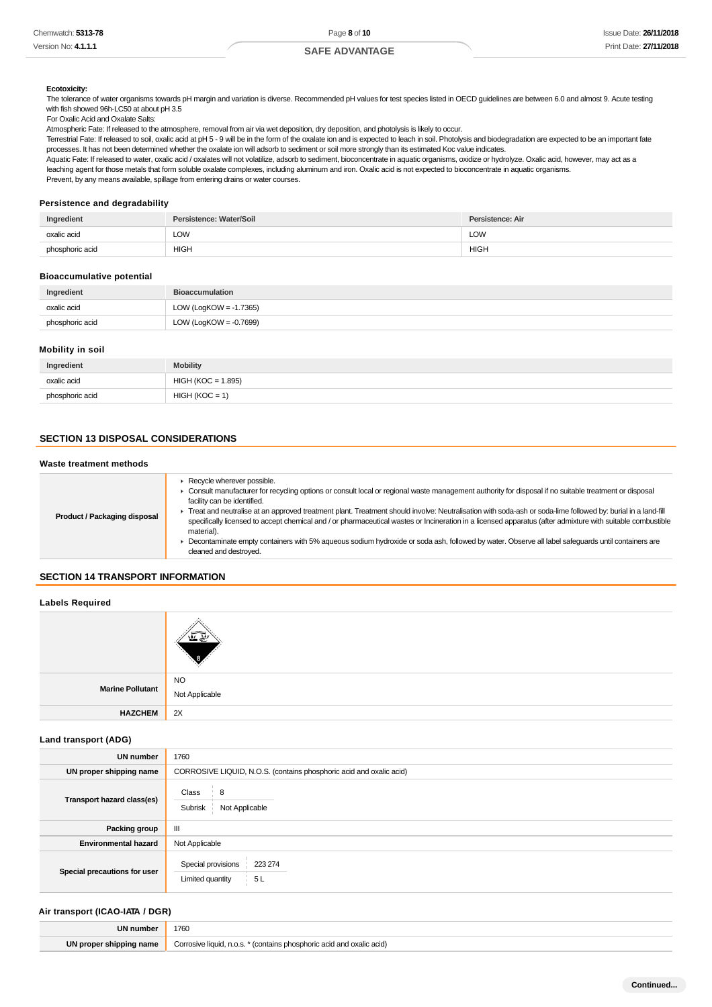#### **Ecotoxicity:**

The tolerance of water organisms towards pH margin and variation is diverse. Recommended pH values for test species listed in OECD guidelines are between 6.0 and almost 9. Acute testing with fish showed 96h-LC50 at about pH 3.5

#### For Oxalic Acid and Oxalate Salts:

Atmospheric Fate: If released to the atmosphere, removal from air via wet deposition, dry deposition, and photolysis is likely to occur.

Terrestrial Fate: If released to soil, oxalic acid at pH 5 - 9 will be in the form of the oxalate ion and is expected to leach in soil. Photolysis and biodegradation are expected to be an important fate processes. It has not been determined whether the oxalate ion will adsorb to sediment or soil more strongly than its estimated Koc value indicates.

Aquatic Fate: If released to water, oxalic acid / oxalates will not volatilize, adsorb to sediment, bioconcentrate in aquatic organisms, oxidize or hydrolyze. Oxalic acid, however, may act as a leaching agent for those metals that form soluble oxalate complexes, including aluminum and iron. Oxalic acid is not expected to bioconcentrate in aquatic organisms. Prevent, by any means available, spillage from entering drains or water courses.

# **Persistence and degradability**

| Ingredient      | Persistence: Water/Soil | Persistence: Air |
|-----------------|-------------------------|------------------|
| oxalic acid     | LOW                     | <b>LOW</b>       |
| phosphoric acid | <b>HIGH</b>             | <b>HIGH</b>      |

#### **Bioaccumulative potential**

| Ingredient      | <b>Bioaccumulation</b>    |
|-----------------|---------------------------|
| oxalic acid     | LOW (LogKOW = -1.7365)    |
| phosphoric acid | LOW (LogKOW = $-0.7699$ ) |

#### **Mobility in soil**

| Ingredient      | <b>Mobility</b>    |
|-----------------|--------------------|
| oxalic acid     | HIGH (KOC = 1.895) |
| phosphoric acid | $HIGH (KOC = 1)$   |

# **SECTION 13 DISPOSAL CONSIDERATIONS**

# **Waste treatment methods**

### **SECTION 14 TRANSPORT INFORMATION**

#### **Labels Required**

| Marine Pollutant | <b>NO</b>      |
|------------------|----------------|
|                  | Not Applicable |
| <b>HAZCHEM</b>   | 2X             |

# **Land transport (ADG)**

| <b>UN number</b>             | 1760                                                                |  |  |
|------------------------------|---------------------------------------------------------------------|--|--|
| UN proper shipping name      | CORROSIVE LIQUID, N.O.S. (contains phosphoric acid and oxalic acid) |  |  |
| Transport hazard class(es)   | Class<br>8<br>Not Applicable<br>Subrisk                             |  |  |
| Packing group                | Ш                                                                   |  |  |
| <b>Environmental hazard</b>  | Not Applicable                                                      |  |  |
| Special precautions for user | Special provisions<br>223 274<br>Limited quantity<br>5L             |  |  |

#### **Air transport (ICAO-IATA / DGR)**

| UN numbe                | 1760                                                                     |
|-------------------------|--------------------------------------------------------------------------|
| UN proper shipping name | Corrosive liquid, n.o.s.<br>* (contains phosphoric acid and oxalic acid) |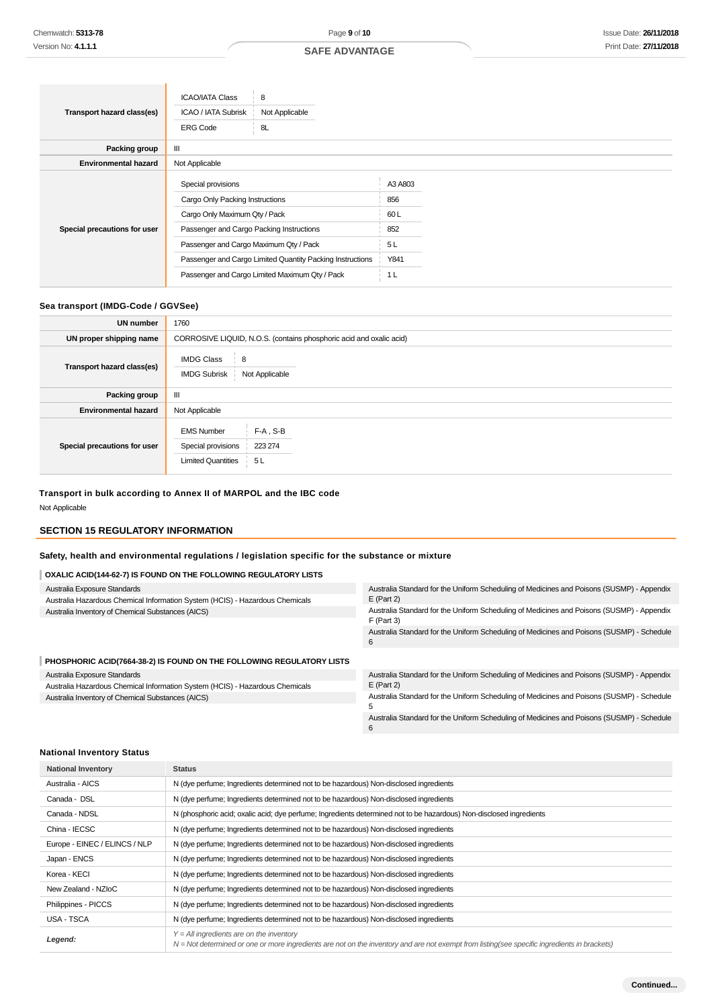|                              | 8<br><b>ICAO/IATA Class</b>                               |                |  |  |
|------------------------------|-----------------------------------------------------------|----------------|--|--|
| Transport hazard class(es)   | ICAO / IATA Subrisk<br>Not Applicable                     |                |  |  |
|                              | 8L<br><b>ERG Code</b>                                     |                |  |  |
| Packing group                | Ш                                                         |                |  |  |
| <b>Environmental hazard</b>  | Not Applicable                                            |                |  |  |
| Special precautions for user | Special provisions                                        | A3 A803        |  |  |
|                              | Cargo Only Packing Instructions                           | 856            |  |  |
|                              | Cargo Only Maximum Qty / Pack                             | 60 L           |  |  |
|                              | Passenger and Cargo Packing Instructions                  | 852            |  |  |
|                              | Passenger and Cargo Maximum Qty / Pack                    | 5L             |  |  |
|                              | Passenger and Cargo Limited Quantity Packing Instructions | Y841           |  |  |
|                              | Passenger and Cargo Limited Maximum Qty / Pack            | 1 <sub>L</sub> |  |  |

# **Sea transport (IMDG-Code / GGVSee)**

| <b>UN number</b>             | 1760                                                                 |                                 |  |
|------------------------------|----------------------------------------------------------------------|---------------------------------|--|
| UN proper shipping name      | CORROSIVE LIQUID, N.O.S. (contains phosphoric acid and oxalic acid)  |                                 |  |
| Transport hazard class(es)   | <b>IMDG Class</b><br>8<br><b>IMDG Subrisk</b>                        | Not Applicable                  |  |
| Packing group                | Ш                                                                    |                                 |  |
| <b>Environmental hazard</b>  | Not Applicable                                                       |                                 |  |
| Special precautions for user | <b>EMS Number</b><br>Special provisions<br><b>Limited Quantities</b> | $F-A$ , $S-B$<br>223 274<br>5 L |  |

# **Transport in bulk according to Annex II of MARPOL and the IBC code**

Not Applicable

# **SECTION 15 REGULATORY INFORMATION**

# **Safety, health and environmental regulations / legislation specific for the substance or mixture**

# **OXALIC ACID(144-62-7) IS FOUND ON THE FOLLOWING REGULATORY LISTS**

| Australia Exposure Standards                                                 | Australia Standard for the Uniform Scheduling of Medicines and Poisons (SUSMP) - Appendix                 |
|------------------------------------------------------------------------------|-----------------------------------------------------------------------------------------------------------|
| Australia Hazardous Chemical Information System (HCIS) - Hazardous Chemicals | $E$ (Part 2)                                                                                              |
| Australia Inventory of Chemical Substances (AICS)                            | Australia Standard for the Uniform Scheduling of Medicines and Poisons (SUSMP) - Appendix<br>$F$ (Part 3) |
|                                                                              | Australia Standard for the Uniform Scheduling of Medicines and Poisons (SUSMP) - Schedule<br>6            |
| PHOSPHORIC ACID(7664-38-2) IS FOUND ON THE FOLLOWING REGULATORY LISTS        |                                                                                                           |
| Australia Exposure Standards                                                 | Australia Standard for the Uniform Scheduling of Medicines and Poisons (SUSMP) - Appendix                 |
| Australia Hazardous Chemical Information System (HCIS) - Hazardous Chemicals | $E$ (Part 2)                                                                                              |
| Australia Inventory of Chemical Substances (AICS)                            | Australia Standard for the Uniform Scheduling of Medicines and Poisons (SUSMP) - Schedule                 |

5

6

Australia Standard for the Uniform Scheduling of Medicines and Poisons (SUSMP) - Schedule

# **National Inventory Status**

| <b>National Inventory</b>     | <b>Status</b>                                                                                                                                                                                |
|-------------------------------|----------------------------------------------------------------------------------------------------------------------------------------------------------------------------------------------|
| Australia - AICS              | N (dye perfume; Ingredients determined not to be hazardous) Non-disclosed ingredients                                                                                                        |
| Canada - DSL                  | N (dye perfume; Ingredients determined not to be hazardous) Non-disclosed ingredients                                                                                                        |
| Canada - NDSL                 | N (phosphoric acid; oxalic acid; dye perfume; Ingredients determined not to be hazardous) Non-disclosed ingredients                                                                          |
| China - IECSC                 | N (dye perfume; Ingredients determined not to be hazardous) Non-disclosed ingredients                                                                                                        |
| Europe - EINEC / ELINCS / NLP | N (dye perfume; Ingredients determined not to be hazardous) Non-disclosed ingredients                                                                                                        |
| Japan - ENCS                  | N (dye perfume; Ingredients determined not to be hazardous) Non-disclosed ingredients                                                                                                        |
| Korea - KECI                  | N (dye perfume; Ingredients determined not to be hazardous) Non-disclosed ingredients                                                                                                        |
| New Zealand - NZIoC           | N (dye perfume; Ingredients determined not to be hazardous) Non-disclosed ingredients                                                                                                        |
| Philippines - PICCS           | N (dye perfume; Ingredients determined not to be hazardous) Non-disclosed ingredients                                                                                                        |
| USA - TSCA                    | N (dye perfume; Ingredients determined not to be hazardous) Non-disclosed ingredients                                                                                                        |
| Legend:                       | $Y = All$ ingredients are on the inventory<br>$N = Not$ determined or one or more ingredients are not on the inventory and are not exempt from listing(see specific ingredients in brackets) |